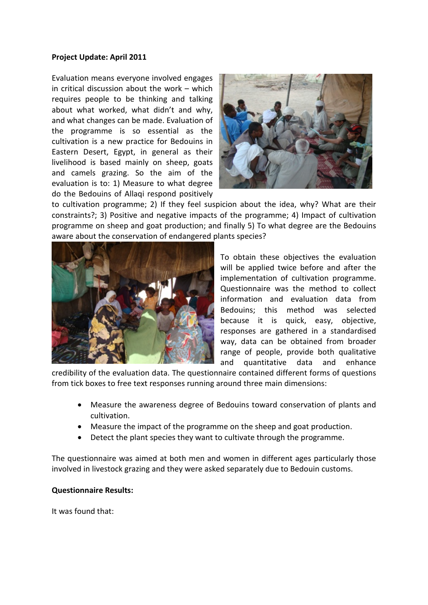## **Project Update: April 2011**

Evaluation means everyone involved engages in critical discussion about the work – which requires people to be thinking and talking about what worked, what didn't and why, and what changes can be made. Evaluation of the programme is so essential as the cultivation is a new practice for Bedouins in Eastern Desert, Egypt, in general as their livelihood is based mainly on sheep, goats and camels grazing. So the aim of the evaluation is to: 1) Measure to what degree do the Bedouins of Allaqi respond positively



to cultivation programme; 2) If they feel suspicion about the idea, why? What are their constraints?; 3) Positive and negative impacts of the programme; 4) Impact of cultivation programme on sheep and goat production; and finally 5) To what degree are the Bedouins aware about the conservation of endangered plants species?



To obtain these objectives the evaluation will be applied twice before and after the implementation of cultivation programme. Questionnaire was the method to collect information and evaluation data from Bedouins; this method was selected because it is quick, easy, objective, responses are gathered in a standardised way, data can be obtained from broader range of people, provide both qualitative and quantitative data and enhance

credibility of the evaluation data. The questionnaire contained different forms of questions from tick boxes to free text responses running around three main dimensions:

- Measure the awareness degree of Bedouins toward conservation of plants and cultivation.
- Measure the impact of the programme on the sheep and goat production.
- Detect the plant species they want to cultivate through the programme.

The questionnaire was aimed at both men and women in different ages particularly those involved in livestock grazing and they were asked separately due to Bedouin customs.

## **Questionnaire Results:**

It was found that: